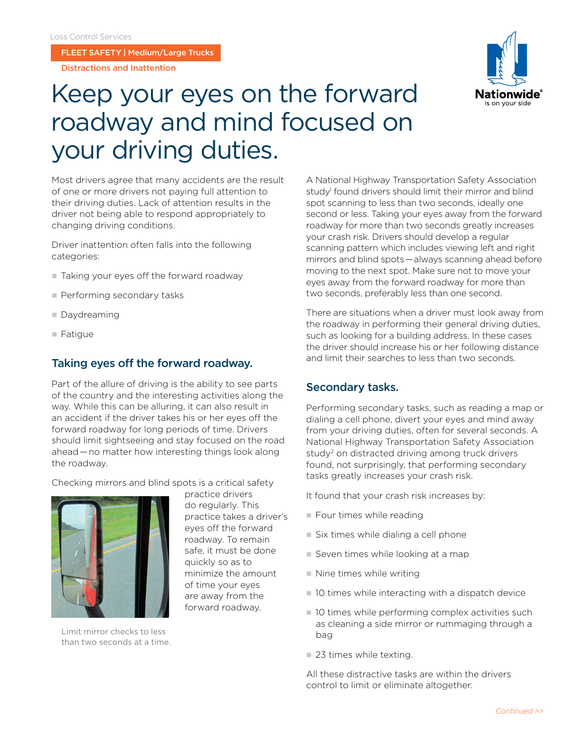FLEET SAFETY | Medium/Large Trucks

Distractions and Inattention



# Keep your eyes on the forward roadway and mind focused on your driving duties.

Most drivers agree that many accidents are the result of one or more drivers not paying full attention to their driving duties. Lack of attention results in the driver not being able to respond appropriately to changing driving conditions.

Driver inattention often falls into the following categories:

- Taking your eyes off the forward roadway
- Performing secondary tasks
- Daydreaming
- $\blacksquare$  Fatigue

#### Taking eyes off the forward roadway.

Part of the allure of driving is the ability to see parts of the country and the interesting activities along the way. While this can be alluring, it can also result in an accident if the driver takes his or her eyes off the forward roadway for long periods of time. Drivers should limit sightseeing and stay focused on the road ahead — no matter how interesting things look along the roadway.

Checking mirrors and blind spots is a critical safety



Limit mirror checks to less than two seconds at a time.

practice drivers do regularly. This practice takes a driver's eyes off the forward roadway. To remain safe, it must be done quickly so as to minimize the amount of time your eyes are away from the forward roadway.

A National Highway Transportation Safety Association study<sup>1</sup> found drivers should limit their mirror and blind spot scanning to less than two seconds, ideally one second or less. Taking your eyes away from the forward roadway for more than two seconds greatly increases your crash risk. Drivers should develop a regular scanning pattern which includes viewing left and right mirrors and blind spots — always scanning ahead before moving to the next spot. Make sure not to move your eyes away from the forward roadway for more than two seconds, preferably less than one second.

There are situations when a driver must look away from the roadway in performing their general driving duties, such as looking for a building address. In these cases the driver should increase his or her following distance and limit their searches to less than two seconds.

#### Secondary tasks.

Performing secondary tasks, such as reading a map or dialing a cell phone, divert your eyes and mind away from your driving duties, often for several seconds. A National Highway Transportation Safety Association study<sup>2</sup> on distracted driving among truck drivers found, not surprisingly, that performing secondary tasks greatly increases your crash risk.

It found that your crash risk increases by:

- $\blacksquare$  Four times while reading
- $\blacksquare$  Six times while dialing a cell phone
- $\blacksquare$  Seven times while looking at a map
- $\blacksquare$  Nine times while writing
- $\blacksquare$  10 times while interacting with a dispatch device
- $\blacksquare$  10 times while performing complex activities such as cleaning a side mirror or rummaging through a bag
- $\blacksquare$  23 times while texting.

All these distractive tasks are within the drivers control to limit or eliminate altogether.